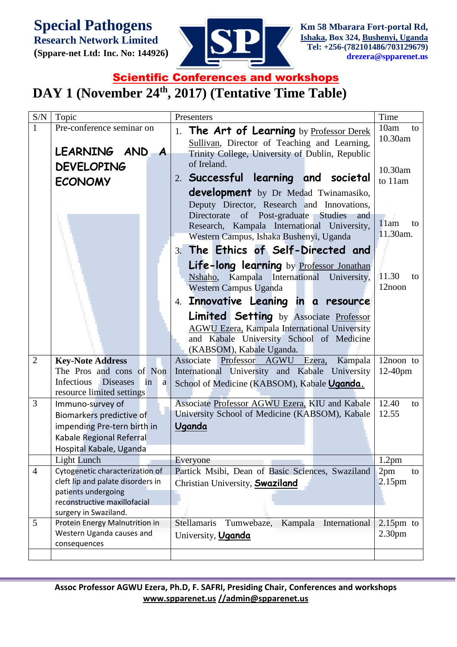**Special Pathogens** 

**Research Network Limited (Sppare-net Ltd: Inc. No: 144926)** 



## **Scientific Conferences and workshops**

## **DAY 1 (November 24th, 2017) (Tentative Time Table)**

| S/N            | Topic                                          | Presenters                                                                                | Time                           |
|----------------|------------------------------------------------|-------------------------------------------------------------------------------------------|--------------------------------|
| $\mathbf{1}$   | Pre-conference seminar on                      | The Art of Learning by Professor Derek<br>1.                                              | 10am<br>to                     |
|                |                                                | Sullivan, Director of Teaching and Learning,                                              | 10.30am                        |
|                | LEARNING AND A                                 | Trinity College, University of Dublin, Republic                                           |                                |
|                | <b>DEVELOPING</b>                              | of Ireland.                                                                               |                                |
|                |                                                | 2. Successful learning and societal                                                       | 10.30am<br>to 11am             |
|                | <b>ECONOMY</b>                                 |                                                                                           |                                |
|                |                                                | <b>development</b> by Dr Medad Twinamasiko,                                               |                                |
|                |                                                | Deputy Director, Research and Innovations,<br>Directorate of Post-graduate Studies<br>and |                                |
|                |                                                | Research, Kampala International University,                                               | 11am<br>to                     |
|                |                                                | Western Campus, Ishaka Bushenyi, Uganda                                                   | 11.30am.                       |
|                |                                                | 3. The Ethics of Self-Directed and                                                        |                                |
|                |                                                | Life-long learning by Professor Jonathan                                                  |                                |
|                |                                                | Kampala International<br>University,<br>Nshaho,                                           | 11.30<br>to                    |
|                |                                                | <b>Western Campus Uganda</b>                                                              | 12noon                         |
|                |                                                | 4. Innovative Leaning in a resource                                                       |                                |
|                |                                                | <b>Limited Setting</b> by Associate Professor                                             |                                |
|                |                                                | AGWU Ezera, Kampala International University                                              |                                |
|                |                                                | and Kabale University School of Medicine                                                  |                                |
|                |                                                | (KABSOM), Kabale Uganda.                                                                  |                                |
| $\overline{2}$ | <b>Key-Note Address</b>                        | Kampala<br>Associate<br>Professor AGWU Ezera,                                             | 12noon to                      |
|                | The Pros and cons of Non                       | International University and Kabale University                                            | $12-40$ pm                     |
|                | Infectious Diseases<br>in<br>a                 | School of Medicine (KABSOM), Kabale Uganda.                                               |                                |
|                | resource limited settings                      |                                                                                           |                                |
| 3              | Immuno-survey of                               | Associate Professor AGWU Ezera, KIU and Kabale                                            | 12.40<br>to                    |
|                | Biomarkers predictive of                       | University School of Medicine (KABSOM), Kabale                                            | 12.55                          |
|                | impending Pre-tern birth in                    | <b>Uganda</b>                                                                             |                                |
|                | Kabale Regional Referral                       |                                                                                           |                                |
|                | Hospital Kabale, Uganda                        |                                                                                           |                                |
| $\overline{4}$ | Light Lunch<br>Cytogenetic characterization of | Everyone<br>Partick Msibi, Dean of Basic Sciences, Swaziland                              | 1.2 <sub>pm</sub><br>2pm<br>to |
|                | cleft lip and palate disorders in              | Christian University, <b>Swaziland</b>                                                    | 2.15 <sub>pm</sub>             |
|                | patients undergoing                            |                                                                                           |                                |
|                | reconstructive maxillofacial                   |                                                                                           |                                |
|                | surgery in Swaziland.                          |                                                                                           |                                |
| 5              | Protein Energy Malnutrition in                 | <b>Stellamaris</b><br>Kampala International<br>Tumwebaze,                                 | $2.15$ pm to                   |
|                | Western Uganda causes and                      | University, Uganda                                                                        | 2.30 <sub>pm</sub>             |
|                | consequences                                   |                                                                                           |                                |
|                |                                                |                                                                                           |                                |

**Assoc Professor AGWU Ezera, Ph.D, F. SAFRI, Presiding Chair, Conferences and workshops [www.spparenet.us](http://www.spparenet.us/) [//admin@spparenet.us](mailto:admin@spparenet.us)**